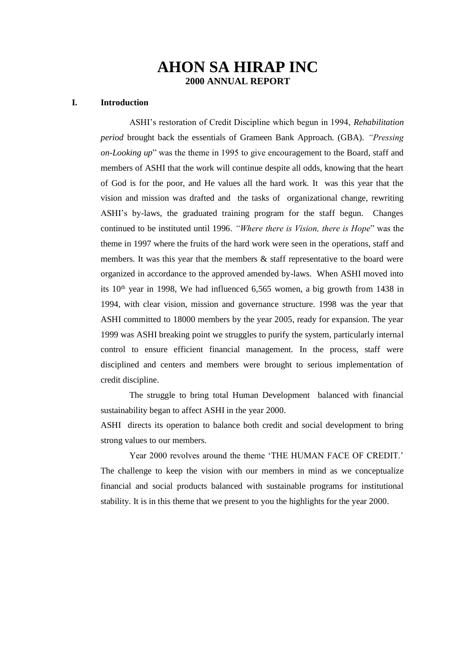# **AHON SA HIRAP INC 2000 ANNUAL REPORT**

## **I. Introduction**

ASHI's restoration of Credit Discipline which begun in 1994, *Rehabilitation period* brought back the essentials of Grameen Bank Approach. (GBA). *"Pressing on-Looking up*" was the theme in 1995 to give encouragement to the Board, staff and members of ASHI that the work will continue despite all odds, knowing that the heart of God is for the poor, and He values all the hard work. It was this year that the vision and mission was drafted and the tasks of organizational change, rewriting ASHI's by-laws, the graduated training program for the staff begun. Changes continued to be instituted until 1996. *"Where there is Vision, there is Hope*" was the theme in 1997 where the fruits of the hard work were seen in the operations, staff and members. It was this year that the members  $\&$  staff representative to the board were organized in accordance to the approved amended by-laws. When ASHI moved into its  $10<sup>th</sup>$  year in 1998, We had influenced 6,565 women, a big growth from 1438 in 1994, with clear vision, mission and governance structure. 1998 was the year that ASHI committed to 18000 members by the year 2005, ready for expansion. The year 1999 was ASHI breaking point we struggles to purify the system, particularly internal control to ensure efficient financial management. In the process, staff were disciplined and centers and members were brought to serious implementation of credit discipline.

The struggle to bring total Human Development balanced with financial sustainability began to affect ASHI in the year 2000.

ASHI directs its operation to balance both credit and social development to bring strong values to our members.

Year 2000 revolves around the theme 'THE HUMAN FACE OF CREDIT.' The challenge to keep the vision with our members in mind as we conceptualize financial and social products balanced with sustainable programs for institutional stability. It is in this theme that we present to you the highlights for the year 2000.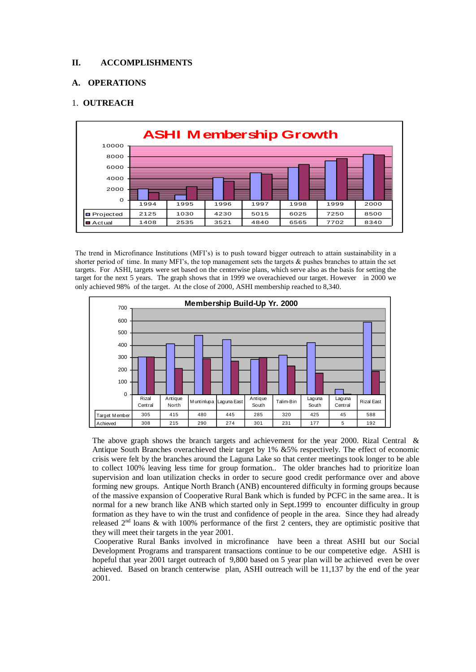#### **II. ACCOMPLISHMENTS**

#### **A. OPERATIONS**

### 1. **OUTREACH**



The trend in Microfinance Institutions (MFI's) is to push toward bigger outreach to attain sustainability in a shorter period of time. In many MFI's, the top management sets the targets & pushes branches to attain the set targets. For ASHI, targets were set based on the centerwise plans, which serve also as the basis for setting the target for the next 5 years. The graph shows that in 1999 we overachieved our target. However in 2000 we only achieved 98% of the target. At the close of 2000, ASHI membership reached to 8,340.



The above graph shows the branch targets and achievement for the year 2000. Rizal Central & Antique South Branches overachieved their target by 1% &5% respectively. The effect of economic crisis were felt by the branches around the Laguna Lake so that center meetings took longer to be able to collect 100% leaving less time for group formation.. The older branches had to prioritize loan supervision and loan utilization checks in order to secure good credit performance over and above forming new groups. Antique North Branch (ANB) encountered difficulty in forming groups because of the massive expansion of Cooperative Rural Bank which is funded by PCFC in the same area.. It is normal for a new branch like ANB which started only in Sept.1999 to encounter difficulty in group formation as they have to win the trust and confidence of people in the area. Since they had already released  $2<sup>nd</sup>$  loans & with 100% performance of the first 2 centers, they are optimistic positive that they will meet their targets in the year 2001.

Cooperative Rural Banks involved in microfinance have been a threat ASHI but our Social Development Programs and transparent transactions continue to be our competetive edge. ASHI is hopeful that year 2001 target outreach of 9,800 based on 5 year plan will be achieved even be over achieved. Based on branch centerwise plan, ASHI outreach will be 11,137 by the end of the year 2001.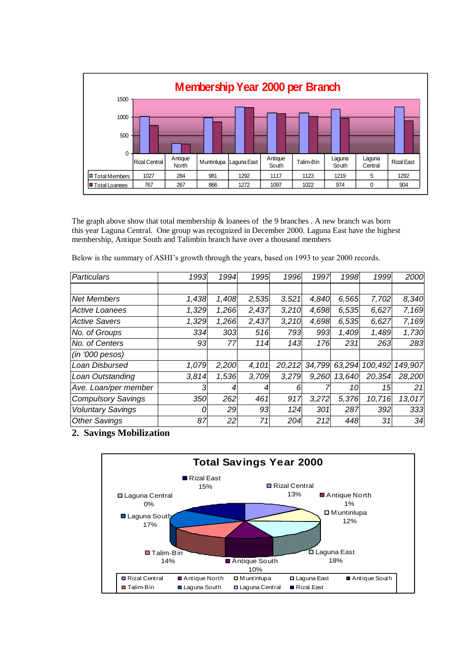

The graph above show that total membership & loanees of the 9 branches . A new branch was born this year Laguna Central. One group was recognized in December 2000. Laguna East have the highest membership, Antique South and Talimbin branch have over a thousand members

Below is the summary of ASHI's growth through the years, based on 1993 to year 2000 records.

| <b>Particulars</b>        | 1993  | 1994  | 1995  | 1996   | 1997   | 1998   | 1999    | 2000    |
|---------------------------|-------|-------|-------|--------|--------|--------|---------|---------|
|                           |       |       |       |        |        |        |         |         |
| <b>Net Members</b>        | 1,438 | 1,408 | 2,535 | 3,521  | 4,840  | 6,565  | 7,702   | 8,340   |
| Active Loanees            | 1,329 | 1,266 | 2,437 | 3,210  | 4,698  | 6,535  | 6,627   | 7,169   |
| <b>Active Savers</b>      | 1,329 | 1,266 | 2,437 | 3,210  | 4,698  | 6,535  | 6,627   | 7,169   |
| No. of Groups             | 334   | 303   | 516   | 793    | 993    | 1,409  | 1,489   | 1,730   |
| No. of Centers            | 93    | 77    | 114   | 143    | 176    | 231    | 263     | 283     |
| (in 7000 pesos)           |       |       |       |        |        |        |         |         |
| Loan Disbursed            | 1,079 | 2,200 | 4,101 | 20,212 | 34,799 | 63,294 | 100,492 | 149,907 |
| Loan Outstanding          | 3.814 | 1,536 | 3.709 | 3,279  | 9,260  | 13,640 | 20,354  | 28,200  |
| Ave. Loan/per member      | 3     | 4     |       | 6      |        | 10     | 15      | 21      |
| <b>Compulsory Savings</b> | 350   | 262   | 461   | 917    | 3,272  | 5,376  | 10,716  | 13,017  |
| <b>Voluntary Savings</b>  | 0     | 29    | 93    | 124    | 301    | 287    | 392     | 333     |
| <b>Other Savings</b>      | 87    | 22    | 71    | 204    | 212    | 448    | 31      | 34      |

## **2. Savings Mobilization**

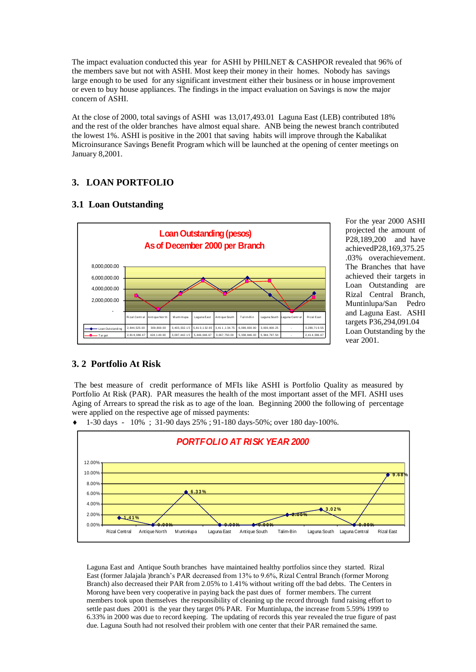The impact evaluation conducted this year for ASHI by PHILNET & CASHPOR revealed that 96% of the members save but not with ASHI. Most keep their money in their homes. Nobody has savings large enough to be used for any significant investment either their business or in house improvement or even to buy house appliances. The findings in the impact evaluation on Savings is now the major concern of ASHI.

At the close of 2000, total savings of ASHI was 13,017,493.01 Laguna East (LEB) contributed 18% and the rest of the older branches have almost equal share. ANB being the newest branch contributed the lowest 1%. ASHI is positive in the 2001 that saving habits will improve through the Kabalikat Microinsurance Savings Benefit Program which will be launched at the opening of center meetings on January 8,2001.

## **3. LOAN PORTFOLIO**

## **3.1 Loan Outstanding**



For the year 2000 ASHI projected the amount of P28,189,200 and have achievedP28,169,375.25 .03% overachievement. The Branches that have achieved their targets in Loan Outstanding are Rizal Central Branch, Muntinlupa/San Pedro and Laguna East. ASHI targets P36,294,091.04 Loan Outstanding by the year 2001.

## **3. 2 Portfolio At Risk**

The best measure of credit performance of MFIs like ASHI is Portfolio Quality as measured by Portfolio At Risk (PAR). PAR measures the health of the most important asset of the MFI. ASHI uses Aging of Arrears to spread the risk as to age of the loan. Beginning 2000 the following of percentage were applied on the respective age of missed payments:



 $\bullet$  1-30 days - 10%; 31-90 days 25%; 91-180 days-50%; over 180 day-100%.

Laguna East and Antique South branches have maintained healthy portfolios since they started. Rizal East (former Jalajala )branch's PAR decreased from 13% to 9.6%, Rizal Central Branch (former Morong Branch) also decreased their PAR from 2.05% to 1.41% without writing off the bad debts. The Centers in Morong have been very cooperative in paying back the past dues of former members. The current members took upon themselves the responsibility of cleaning up the record through fund raising effort to settle past dues 2001 is the year they target 0% PAR. For Muntinlupa, the increase from 5.59% 1999 to 6.33% in 2000 was due to record keeping. The updating of records this year revealed the true figure of past due. Laguna South had not resolved their problem with one center that their PAR remained the same.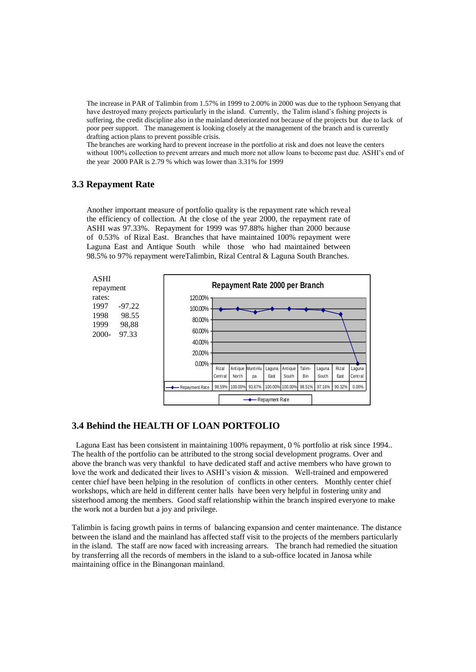The increase in PAR of Talimbin from 1.57% in 1999 to 2.00% in 2000 was due to the typhoon Senyang that have destroyed many projects particularly in the island. Currently, the Talim island's fishing projects is suffering, the credit discipline also in the mainland deteriorated not because of the projects but due to lack of poor peer support. The management is looking closely at the management of the branch and is currently drafting action plans to prevent possible crisis.

The branches are working hard to prevent increase in the portfolio at risk and does not leave the centers without 100% collection to prevent arrears and much more not allow loans to become past due. ASHI's end of the year 2000 PAR is 2.79 % which was lower than 3.31% for 1999

## **3.3 Repayment Rate**

Another important measure of portfolio quality is the repayment rate which reveal the efficiency of collection. At the close of the year 2000, the repayment rate of ASHI was 97.33%. Repayment for 1999 was 97.88% higher than 2000 because of 0.53% of Rizal East. Branches that have maintained 100% repayment were Laguna East and Antique South while those who had maintained between 98.5% to 97% repayment wereTalimbin, Rizal Central & Laguna South Branches.



## **3.4 Behind the HEALTH OF LOAN PORTFOLIO**

 Laguna East has been consistent in maintaining 100% repayment, 0 % portfolio at risk since 1994.. The health of the portfolio can be attributed to the strong social development programs. Over and above the branch was very thankful to have dedicated staff and active members who have grown to love the work and dedicated their lives to ASHI's vision & mission. Well-trained and empowered center chief have been helping in the resolution of conflicts in other centers. Monthly center chief workshops, which are held in different center halls have been very helpful in fostering unity and sisterhood among the members. Good staff relationship within the branch inspired everyone to make the work not a burden but a joy and privilege.

Talimbin is facing growth pains in terms of balancing expansion and center maintenance. The distance between the island and the mainland has affected staff visit to the projects of the members particularly in the island. The staff are now faced with increasing arrears. The branch had remedied the situation by transferring all the records of members in the island to a sub-office located in Janosa while maintaining office in the Binangonan mainland.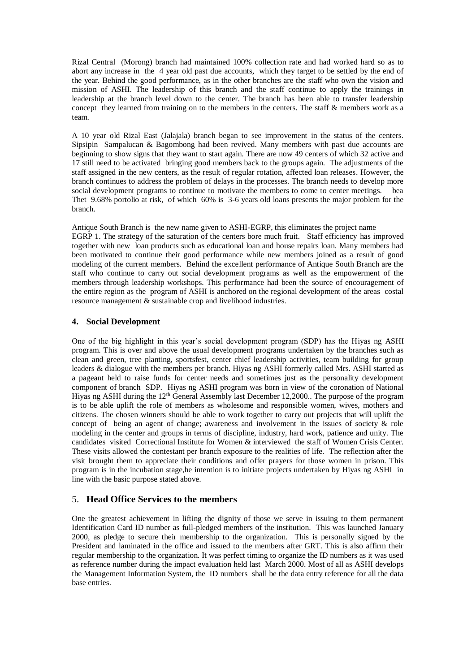Rizal Central (Morong) branch had maintained 100% collection rate and had worked hard so as to abort any increase in the 4 year old past due accounts, which they target to be settled by the end of the year. Behind the good performance, as in the other branches are the staff who own the vision and mission of ASHI. The leadership of this branch and the staff continue to apply the trainings in leadership at the branch level down to the center. The branch has been able to transfer leadership concept they learned from training on to the members in the centers. The staff  $\&$  members work as a team.

A 10 year old Rizal East (Jalajala) branch began to see improvement in the status of the centers. Sipsipin Sampalucan & Bagombong had been revived. Many members with past due accounts are beginning to show signs that they want to start again. There are now 49 centers of which 32 active and 17 still need to be activated bringing good members back to the groups again. The adjustments of the staff assigned in the new centers, as the result of regular rotation, affected loan releases. However, the branch continues to address the problem of delays in the processes. The branch needs to develop more social development programs to continue to motivate the members to come to center meetings. bea Thet 9.68% portolio at risk, of which 60% is 3-6 years old loans presents the major problem for the branch.

Antique South Branch is the new name given to ASHI-EGRP, this eliminates the project name EGRP 1. The strategy of the saturation of the centers bore much fruit. Staff efficiency has improved together with new loan products such as educational loan and house repairs loan. Many members had been motivated to continue their good performance while new members joined as a result of good modeling of the current members. Behind the excellent performance of Antique South Branch are the staff who continue to carry out social development programs as well as the empowerment of the members through leadership workshops. This performance had been the source of encouragement of the entire region as the program of ASHI is anchored on the regional development of the areas costal resource management & sustainable crop and livelihood industries.

### **4. Social Development**

One of the big highlight in this year's social development program (SDP) has the Hiyas ng ASHI program. This is over and above the usual development programs undertaken by the branches such as clean and green, tree planting, sportsfest, center chief leadership activities, team building for group leaders & dialogue with the members per branch. Hiyas ng ASHI formerly called Mrs. ASHI started as a pageant held to raise funds for center needs and sometimes just as the personality development component of branch SDP. Hiyas ng ASHI program was born in view of the coronation of National Hiyas ng ASHI during the  $12<sup>th</sup>$  General Assembly last December 12,2000.. The purpose of the program is to be able uplift the role of members as wholesome and responsible women, wives, mothers and citizens. The chosen winners should be able to work together to carry out projects that will uplift the concept of being an agent of change; awareness and involvement in the issues of society  $\&$  role modeling in the center and groups in terms of discipline, industry, hard work, patience and unity. The candidates visited Correctional Institute for Women & interviewed the staff of Women Crisis Center. These visits allowed the contestant per branch exposure to the realities of life. The reflection after the visit brought them to appreciate their conditions and offer prayers for those women in prison. This program is in the incubation stage,he intention is to initiate projects undertaken by Hiyas ng ASHI in line with the basic purpose stated above.

## 5. **Head Office Services to the members**

One the greatest achievement in lifting the dignity of those we serve in issuing to them permanent Identification Card ID number as full-pledged members of the institution. This was launched January 2000, as pledge to secure their membership to the organization. This is personally signed by the President and laminated in the office and issued to the members after GRT. This is also affirm their regular membership to the organization. It was perfect timing to organize the ID numbers as it was used as reference number during the impact evaluation held last March 2000. Most of all as ASHI develops the Management Information System, the ID numbers shall be the data entry reference for all the data base entries.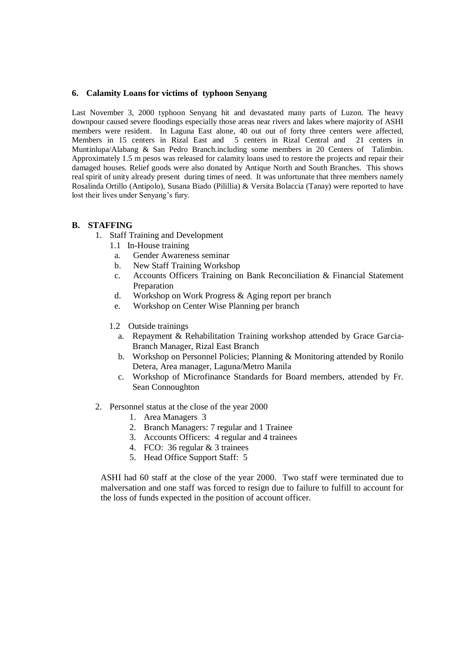#### **6. Calamity Loans for victims of typhoon Senyang**

Last November 3, 2000 typhoon Senyang hit and devastated many parts of Luzon. The heavy downpour caused severe floodings especially those areas near rivers and lakes where majority of ASHI members were resident. In Laguna East alone, 40 out out of forty three centers were affected, Members in 15 centers in Rizal East and 5 centers in Rizal Central and 21 centers in Muntinlupa/Alabang & San Pedro Branch.including some members in 20 Centers of Talimbin. Approximately 1.5 m pesos was released for calamity loans used to restore the projects and repair their damaged houses. Relief goods were also donated by Antique North and South Branches. This shows real spirit of unity already present during times of need. It was unfortunate that three members namely Rosalinda Ortillo (Antipolo), Susana Biado (Pilillia) & Versita Bolaccia (Tanay) were reported to have lost their lives under Senyang's fury.

### **B. STAFFING**

- 1. Staff Training and Development
	- 1.1 In-House training
	- a. Gender Awareness seminar
	- b. New Staff Training Workshop
	- c. Accounts Officers Training on Bank Reconciliation & Financial Statement Preparation
	- d. Workshop on Work Progress & Aging report per branch
	- e. Workshop on Center Wise Planning per branch
	- 1.2 Outside trainings
		- a. Repayment & Rehabilitation Training workshop attended by Grace Garcia-Branch Manager, Rizal East Branch
		- b. Workshop on Personnel Policies; Planning & Monitoring attended by Ronilo Detera, Area manager, Laguna/Metro Manila
		- c. Workshop of Microfinance Standards for Board members, attended by Fr. Sean Connoughton
- 2. Personnel status at the close of the year 2000
	- 1. Area Managers 3
	- 2. Branch Managers: 7 regular and 1 Trainee
	- 3. Accounts Officers: 4 regular and 4 trainees
	- 4. FCO: 36 regular & 3 trainees
	- 5. Head Office Support Staff: 5

ASHI had 60 staff at the close of the year 2000. Two staff were terminated due to malversation and one staff was forced to resign due to failure to fulfill to account for the loss of funds expected in the position of account officer.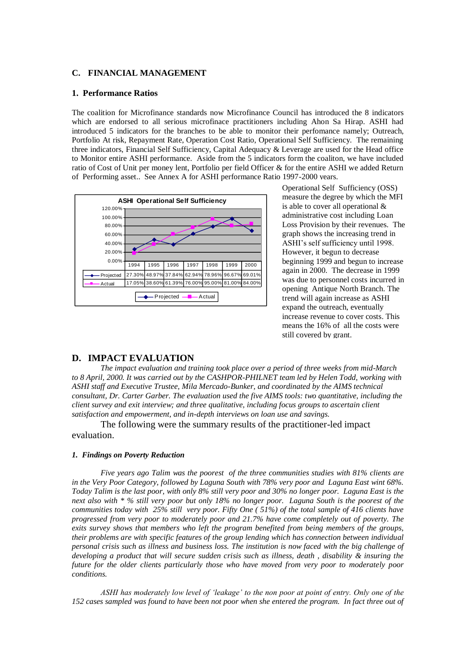#### **C. FINANCIAL MANAGEMENT**

#### **1. Performance Ratios**

The coalition for Microfinance standards now Microfinance Council has introduced the 8 indicators which are endorsed to all serious microfinace practitioners including Ahon Sa Hirap. ASHI had introduced 5 indicators for the branches to be able to monitor their perfomance namely; Outreach, Portfolio At risk, Repayment Rate, Operation Cost Ratio, Operational Self Sufficiency. The remaining three indicators, Financial Self Sufficiency, Capital Adequacy & Leverage are used for the Head office to Monitor entire ASHI performance. Aside from the 5 indicators form the coaliton, we have included ratio of Cost of Unit per money lent, Portfolio per field Officer & for the entire ASHI we added Return of Performing asset.. See Annex A for ASHI performance Ratio 1997-2000 years.



Operational Self Sufficiency (OSS) measure the degree by which the MFI is able to cover all operational & administrative cost including Loan Loss Provision by their revenues. The graph shows the increasing trend in ASHI's self sufficiency until 1998. However, it begun to decrease beginning 1999 and begun to increase again in 2000. The decrease in 1999 was due to personnel costs incurred in opening Antique North Branch. The trend will again increase as ASHI expand the outreach, eventually increase revenue to cover costs. This means the 16% of all the costs were still covered by grant.

#### **D. IMPACT EVALUATION**

*The impact evaluation and training took place over a period of three weeks from mid-March to 8 April, 2000. It was carried out by the CASHPOR-PHILNET team led by Helen Todd, working with ASHI staff and Executive Trustee, Mila Mercado-Bunker, and coordinated by the AIMS technical consultant, Dr. Carter Garber. The evaluation used the five AIMS tools: two quantitative, including the client survey and exit interview; and three qualitative, including focus groups to ascertain client satisfaction and empowerment, and in-depth interviews on loan use and savings.* 

The following were the summary results of the practitioner-led impact evaluation.

#### *1. Findings on Poverty Reduction*

*Five years ago Talim was the poorest of the three communities studies with 81% clients are in the Very Poor Category, followed by Laguna South with 78% very poor and Laguna East wint 68%. Today Talim is the last poor, with only 8% still very poor and 30% no longer poor. Laguna East is the next also with \* % still very poor but only 18% no longer poor. Laguna South is the poorest of the communities today with 25% still very poor. Fifty One ( 51%) of the total sample of 416 clients have progressed from very poor to moderately poor and 21.7% have come completely out of poverty. The exits survey shows that members who left the program benefited from being members of the groups, their problems are with specific features of the group lending which has connection between individual personal crisis such as illness and business loss. The institution is now faced with the big challenge of developing a product that will secure sudden crisis such as illness, death , disability & insuring the future for the older clients particularly those who have moved from very poor to moderately poor conditions.*

*ASHI has moderately low level of 'leakage' to the non poor at point of entry. Only one of the 152 cases sampled was found to have been not poor when she entered the program. In fact three out of*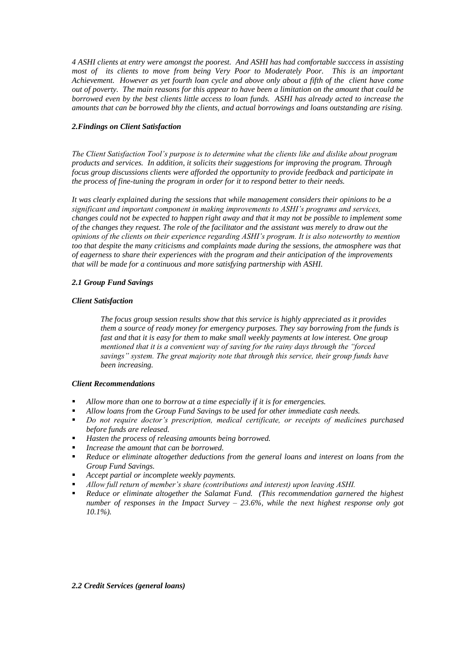*4 ASHI clients at entry were amongst the poorest. And ASHI has had comfortable succcess in assisting most of its clients to move from being Very Poor to Moderately Poor. This is an important Achievement. However as yet fourth loan cycle and above only about a fifth of the client have come out of poverty. The main reasons for this appear to have been a limitation on the amount that could be borrowed even by the best clients little access to loan funds. ASHI has already acted to increase the amounts that can be borrowed bhy the clients, and actual borrowings and loans outstanding are rising.* 

#### *2.Findings on Client Satisfaction*

*The Client Satisfaction Tool's purpose is to determine what the clients like and dislike about program products and services. In addition, it solicits their suggestions for improving the program. Through focus group discussions clients were afforded the opportunity to provide feedback and participate in the process of fine-tuning the program in order for it to respond better to their needs.*

*It was clearly explained during the sessions that while management considers their opinions to be a significant and important component in making improvements to ASHI's programs and services, changes could not be expected to happen right away and that it may not be possible to implement some of the changes they request. The role of the facilitator and the assistant was merely to draw out the opinions of the clients on their experience regarding ASHI's program. It is also noteworthy to mention too that despite the many criticisms and complaints made during the sessions, the atmosphere was that of eagerness to share their experiences with the program and their anticipation of the improvements that will be made for a continuous and more satisfying partnership with ASHI.*

#### *2.1 Group Fund Savings*

#### *Client Satisfaction*

*The focus group session results show that this service is highly appreciated as it provides them a source of ready money for emergency purposes. They say borrowing from the funds is fast and that it is easy for them to make small weekly payments at low interest. One group mentioned that it is a convenient way of saving for the rainy days through the "forced savings" system. The great majority note that through this service, their group funds have been increasing.*

#### *Client Recommendations*

- *Allow more than one to borrow at a time especially if it is for emergencies.*
- *Allow loans from the Group Fund Savings to be used for other immediate cash needs.*
- *Do not require doctor's prescription, medical certificate, or receipts of medicines purchased before funds are released.*
- *Hasten the process of releasing amounts being borrowed.*
- *Increase the amount that can be borrowed.*
- **Reduce or eliminate altogether deductions from the general loans and interest on loans from the** *Group Fund Savings.*
- *Accept partial or incomplete weekly payments.*
- *Allow full return of member's share (contributions and interest) upon leaving ASHI.*
- *Reduce or eliminate altogether the Salamat Fund. (This recommendation garnered the highest number of responses in the Impact Survey – 23.6%, while the next highest response only got 10.1%).*

#### *2.2 Credit Services (general loans)*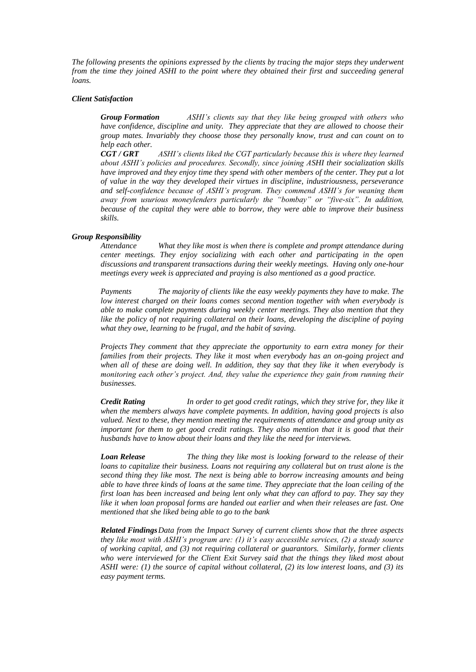*The following presents the opinions expressed by the clients by tracing the major steps they underwent from the time they joined ASHI to the point where they obtained their first and succeeding general loans.*

#### *Client Satisfaction*

*Group Formation ASHI's clients say that they like being grouped with others who have confidence, discipline and unity. They appreciate that they are allowed to choose their group mates. Invariably they choose those they personally know, trust and can count on to help each other.*

*CGT / GRT ASHI's clients liked the CGT particularly because this is where they learned about ASHI's policies and procedures. Secondly, since joining ASHI their socialization skills have improved and they enjoy time they spend with other members of the center. They put a lot of value in the way they developed their virtues in discipline, industriousness, perseverance and self-confidence because of ASHI's program. They commend ASHI's for weaning them away from usurious moneylenders particularly the "bombay" or "five-six". In addition, because of the capital they were able to borrow, they were able to improve their business skills.*

#### *Group Responsibility*

*Attendance What they like most is when there is complete and prompt attendance during center meetings. They enjoy socializing with each other and participating in the open discussions and transparent transactions during their weekly meetings. Having only one-hour meetings every week is appreciated and praying is also mentioned as a good practice.*

*Payments The majority of clients like the easy weekly payments they have to make. The low interest charged on their loans comes second mention together with when everybody is able to make complete payments during weekly center meetings. They also mention that they like the policy of not requiring collateral on their loans, developing the discipline of paying what they owe, learning to be frugal, and the habit of saving.*

*Projects They comment that they appreciate the opportunity to earn extra money for their families from their projects. They like it most when everybody has an on-going project and*  when all of these are doing well. In addition, they say that they like it when everybody is *monitoring each other's project. And, they value the experience they gain from running their businesses.* 

*Credit Rating In order to get good credit ratings, which they strive for, they like it when the members always have complete payments. In addition, having good projects is also valued. Next to these, they mention meeting the requirements of attendance and group unity as important for them to get good credit ratings. They also mention that it is good that their husbands have to know about their loans and they like the need for interviews.*

*Loan Release The thing they like most is looking forward to the release of their loans to capitalize their business. Loans not requiring any collateral but on trust alone is the second thing they like most. The next is being able to borrow increasing amounts and being able to have three kinds of loans at the same time. They appreciate that the loan ceiling of the first loan has been increased and being lent only what they can afford to pay. They say they like it when loan proposal forms are handed out earlier and when their releases are fast. One mentioned that she liked being able to go to the bank* 

*Related FindingsData from the Impact Survey of current clients show that the three aspects they like most with ASHI's program are: (1) it's easy accessible services, (2) a steady source of working capital, and (3) not requiring collateral or guarantors. Similarly, former clients who were interviewed for the Client Exit Survey said that the things they liked most about ASHI were: (1) the source of capital without collateral, (2) its low interest loans, and (3) its easy payment terms.*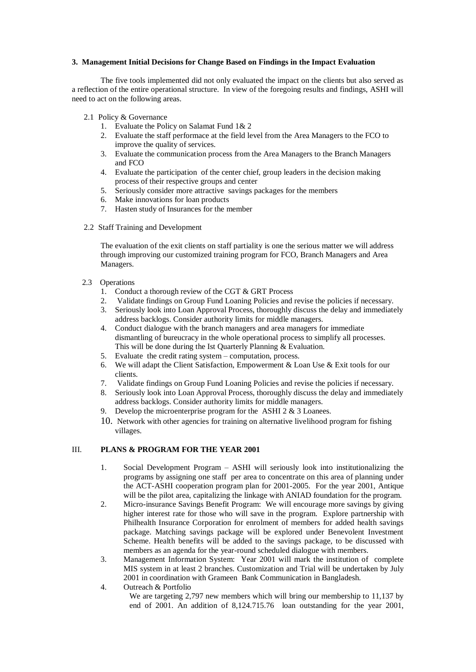#### **3. Management Initial Decisions for Change Based on Findings in the Impact Evaluation**

The five tools implemented did not only evaluated the impact on the clients but also served as a reflection of the entire operational structure. In view of the foregoing results and findings, ASHI will need to act on the following areas.

- 2.1 Policy & Governance
	- 1. Evaluate the Policy on Salamat Fund 1& 2
	- 2. Evaluate the staff performace at the field level from the Area Managers to the FCO to improve the quality of services.
	- 3. Evaluate the communication process from the Area Managers to the Branch Managers and FCO
	- 4. Evaluate the participation of the center chief, group leaders in the decision making process of their respective groups and center
	- 5. Seriously consider more attractive savings packages for the members
	- 6. Make innovations for loan products
	- 7. Hasten study of Insurances for the member
- 2.2 Staff Training and Development

The evaluation of the exit clients on staff partiality is one the serious matter we will address through improving our customized training program for FCO, Branch Managers and Area Managers.

- 2.3 Operations
	- 1. Conduct a thorough review of the CGT & GRT Process
	- 2. Validate findings on Group Fund Loaning Policies and revise the policies if necessary.<br>3. Seriously look into Loan Approval Process, thoroughly discuss the delay and immediate
	- Seriously look into Loan Approval Process, thoroughly discuss the delay and immediately address backlogs. Consider authority limits for middle managers.
	- 4. Conduct dialogue with the branch managers and area managers for immediate dismantling of bureucracy in the whole operational process to simplify all processes. This will be done during the Ist Quarterly Planning & Evaluation.
	- 5. Evaluate the credit rating system computation, process.
	- 6. We will adapt the Client Satisfaction, Empowerment & Loan Use & Exit tools for our clients.
	- 7. Validate findings on Group Fund Loaning Policies and revise the policies if necessary.
	- 8. Seriously look into Loan Approval Process, thoroughly discuss the delay and immediately address backlogs. Consider authority limits for middle managers.
	- Develop the microenterprise program for the ASHI 2 & 3 Loanees.
	- 10. Network with other agencies for training on alternative livelihood program for fishing villages.

## III. **PLANS & PROGRAM FOR THE YEAR 2001**

- 1. Social Development Program ASHI will seriously look into institutionalizing the programs by assigning one staff per area to concentrate on this area of planning under the ACT-ASHI cooperation program plan for 2001-2005. For the year 2001, Antique will be the pilot area, capitalizing the linkage with ANIAD foundation for the program.
- 2. Micro-insurance Savings Benefit Program: We will encourage more savings by giving higher interest rate for those who will save in the program. Explore partnership with Philhealth Insurance Corporation for enrolment of members for added health savings package. Matching savings package will be explored under Benevolent Investment Scheme. Health benefits will be added to the savings package, to be discussed with members as an agenda for the year-round scheduled dialogue with members.
- 3. Management Information System: Year 2001 will mark the institution of complete MIS system in at least 2 branches. Customization and Trial will be undertaken by July 2001 in coordination with Grameen Bank Communication in Bangladesh.
- 4. Outreach & Portfolio We are targeting 2,797 new members which will bring our membership to 11,137 by end of 2001. An addition of 8,124.715.76 loan outstanding for the year 2001,